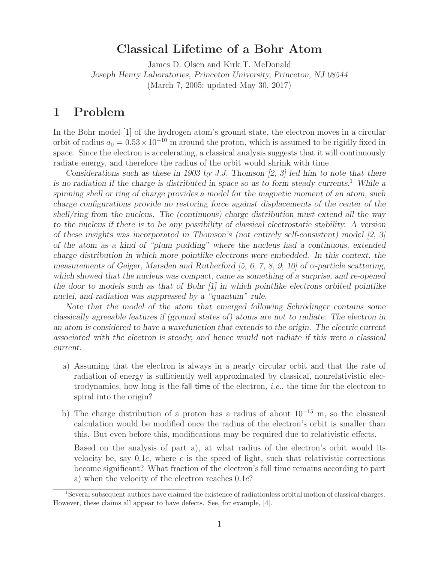## **Classical Lifetime of a Bohr Atom**

James D. Olsen and Kirk T. McDonald *Joseph Henry Laboratories, Princeton University, Princeton, NJ 08544* (March 7, 2005; updated May 30, 2017)

### **1 Problem**

In the Bohr model [1] of the hydrogen atom's ground state, the electron moves in a circular orbit of radius  $a_0 = 0.53 \times 10^{-10}$  m around the proton, which is assumed to be rigidly fixed in space. Since the electron is accelerating, a classical analysis suggests that it will continuously radiate energy, and therefore the radius of the orbit would shrink with time.

*Considerations such as these in 1903 by J.J. Thomson [2, 3] led him to note that there is no radiation if the charge is distributed in space so as to form steady currents.*<sup>1</sup> *While a spinning shell or ring of charge provides a model for the magnetic moment of an atom, such charge configurations provide no restoring force against displacements of the center of the shell/ring from the nucleus. The (continuous) charge distribution must extend all the way to the nucleus if there is to be any possibility of classical electrostatic stability. A version of these insights was incorporated in Thomson's (not entirely self-consistent) model [2, 3] of the atom as a kind of "plum pudding" where the nucleus had a continuous, extended charge distribution in which more pointlike electrons were embedded. In this context, the measurements of Geiger, Marsden and Rutherford [5, 6, 7, 8, 9, 10] of* α*-particle scattering, which showed that the nucleus was compact, came as something of a surprise, and re-opened the door to models such as that of Bohr [1] in which pointlike electrons orbited pointlike nuclei, and radiation was suppressed by a "quantum" rule.*

*Note that the model of the atom that emerged following Schrödinger contains some classically agreeable features if (ground states of) atoms are not to radiate: The electron in an atom is considered to have a wavefunction that extends to the origin. The electric current associated with the electron is steady, and hence would not radiate if this were a classical current.*

- a) Assuming that the electron is always in a nearly circular orbit and that the rate of radiation of energy is sufficiently well approximated by classical, nonrelativistic electrodynamics, how long is the fall time of the electron, *i.e.*, the time for the electron to spiral into the origin?
- b) The charge distribution of a proton has a radius of about 10*−*<sup>15</sup> m, so the classical calculation would be modified once the radius of the electron's orbit is smaller than this. But even before this, modifications may be required due to relativistic effects.

Based on the analysis of part a), at what radius of the electron's orbit would its velocity be, say  $0.1c$ , where c is the speed of light, such that relativistic corrections become significant? What fraction of the electron's fall time remains according to part a) when the velocity of the electron reaches 0.1c?

<sup>1</sup>Several subsequent authors have claimed the existence of radiationless orbital motion of classical charges. However, these claims all appear to have defects. See, for example, [4].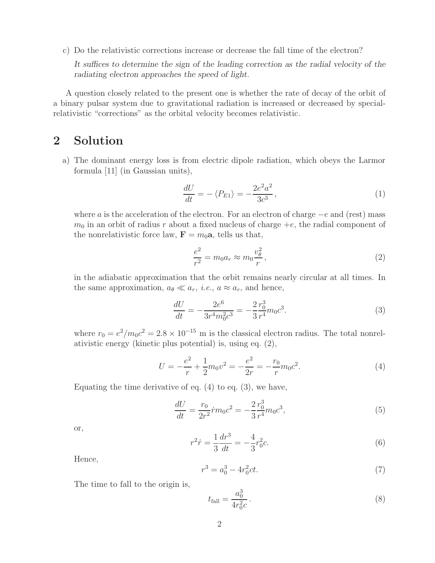c) Do the relativistic corrections increase or decrease the fall time of the electron?

*It suffices to determine the sign of the leading correction as the radial velocity of the radiating electron approaches the speed of light.*

A question closely related to the present one is whether the rate of decay of the orbit of a binary pulsar system due to gravitational radiation is increased or decreased by specialrelativistic "corrections" as the orbital velocity becomes relativistic.

## **2 Solution**

a) The dominant energy loss is from electric dipole radiation, which obeys the Larmor formula [11] (in Gaussian units),

$$
\frac{dU}{dt} = -\langle P_{E1} \rangle = -\frac{2e^2a^2}{3c^3},\tag{1}
$$

where a is the acceleration of the electron. For an electron of charge  $-e$  and (rest) mass  $m_0$  in an orbit of radius r about a fixed nucleus of charge  $+e$ , the radial component of the nonrelativistic force law,  $\mathbf{F} = m_0 \mathbf{a}$ , tells us that,

$$
\frac{e^2}{r^2} = m_0 a_r \approx m_0 \frac{v_\theta^2}{r},\qquad(2)
$$

in the adiabatic approximation that the orbit remains nearly circular at all times. In the same approximation,  $a_{\theta} \ll a_r$ , *i.e.*,  $a \approx a_r$ , and hence,

$$
\frac{dU}{dt} = -\frac{2e^6}{3r^4m_0^2c^3} = -\frac{2r_0^3}{3r^4}m_0c^3.
$$
\n(3)

where  $r_0 = e^2/m_0c^2 = 2.8 \times 10^{-15}$  m is the classical electron radius. The total nonrelativistic energy (kinetic plus potential) is, using eq. (2),

$$
U = -\frac{e^2}{r} + \frac{1}{2}m_0v^2 = -\frac{e^2}{2r} = -\frac{r_0}{r}m_0c^2.
$$
 (4)

Equating the time derivative of eq.  $(4)$  to eq.  $(3)$ , we have,

$$
\frac{dU}{dt} = \frac{r_0}{2r^2}\dot{r}m_0c^2 = -\frac{2}{3}\frac{r_0^3}{r^4}m_0c^3,\tag{5}
$$

or,

$$
r^2 \dot{r} = \frac{1}{3} \frac{dr^3}{dt} = -\frac{4}{3} r_0^2 c. \tag{6}
$$

Hence,

$$
r^3 = a_0^3 - 4r_0^2 ct.
$$
\n(7)

The time to fall to the origin is,

$$
t_{\text{fall}} = \frac{a_0^3}{4r_0^2 c} \,. \tag{8}
$$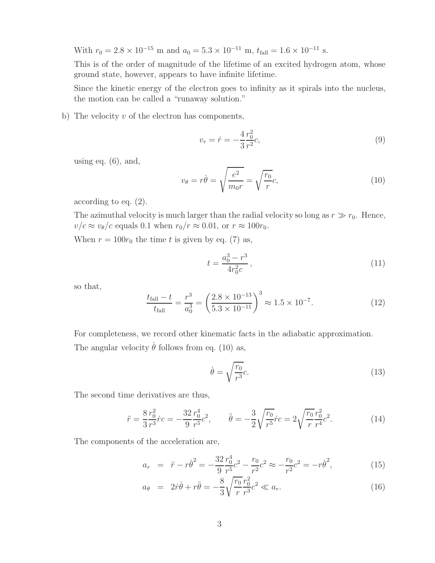With  $r_0 = 2.8 \times 10^{-15}$  m and  $a_0 = 5.3 \times 10^{-11}$  m,  $t_{fall} = 1.6 \times 10^{-11}$  s.

This is of the order of magnitude of the lifetime of an excited hydrogen atom, whose ground state, however, appears to have infinite lifetime.

Since the kinetic energy of the electron goes to infinity as it spirals into the nucleus, the motion can be called a "runaway solution."

b) The velocity  $v$  of the electron has components,

$$
v_r = \dot{r} = -\frac{4}{3} \frac{r_0^2}{r^2} c,\tag{9}
$$

using eq.  $(6)$ , and,

$$
v_{\theta} = r\dot{\theta} = \sqrt{\frac{e^2}{m_0 r}} = \sqrt{\frac{r_0}{r}}c,\tag{10}
$$

according to eq. (2).

The azimuthal velocity is much larger than the radial velocity so long as  $r \gg r_0$ . Hence,  $v/c \approx v_{\theta}/c$  equals 0.1 when  $r_0/r \approx 0.01$ , or  $r \approx 100r_0$ .

When  $r = 100r_0$  the time t is given by eq. (7) as,

$$
t = \frac{a_0^3 - r^3}{4r_0^2 c},\tag{11}
$$

so that,

$$
\frac{t_{\text{fall}} - t}{t_{\text{fall}}} = \frac{r^3}{a_0^3} = \left(\frac{2.8 \times 10^{-13}}{5.3 \times 10^{-11}}\right)^3 \approx 1.5 \times 10^{-7}.\tag{12}
$$

For completeness, we record other kinematic facts in the adiabatic approximation. The angular velocity  $\dot{\theta}$  follows from eq. (10) as,

$$
\dot{\theta} = \sqrt{\frac{r_0}{r^3}}c.\tag{13}
$$

The second time derivatives are thus,

$$
\ddot{r} = \frac{8}{3} \frac{r_0^2}{r^3} \dot{r}c = -\frac{32}{9} \frac{r_0^4}{r^5} c^2, \qquad \ddot{\theta} = -\frac{3}{2} \sqrt{\frac{r_0}{r^5}} \dot{r}c = 2 \sqrt{\frac{r_0}{r}} \frac{r_0^2}{r^4} c^2.
$$
 (14)

The components of the acceleration are,

$$
a_r = \ddot{r} - r\dot{\theta}^2 = -\frac{32}{9}\frac{r_0^4}{r^5}c^2 - \frac{r_0}{r^2}c^2 \approx -\frac{r_0}{r^2}c^2 = -r\dot{\theta}^2,\tag{15}
$$

$$
a_{\theta} = 2\dot{r}\dot{\theta} + r\ddot{\theta} = -\frac{8}{3}\sqrt{\frac{r_0}{r}}\frac{r_0^2}{r^3}c^2 \ll a_r.
$$
 (16)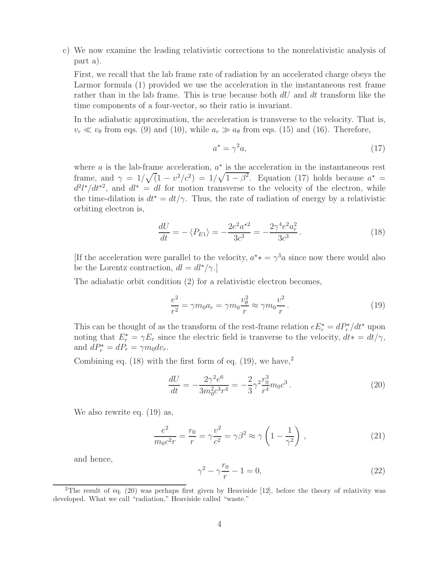c) We now examine the leading relativistic corrections to the nonrelativistic analysis of part a).

First, we recall that the lab frame rate of radiation by an accelerated charge obeys the Larmor formula (1) provided we use the acceleration in the instantaneous rest frame rather than in the lab frame. This is true because both  $dU$  and  $dt$  transform like the time components of a four-vector, so their ratio is invariant.

In the adiabatic approximation, the acceleration is transverse to the velocity. That is,  $v_r \ll v_\theta$  from eqs. (9) and (10), while  $a_r \gg a_\theta$  from eqs. (15) and (16). Therefore,

$$
a^* = \gamma^2 a,\tag{17}
$$

where a is the lab-frame acceleration,  $a^*$  is the acceleration in the instantaneous rest frame, and  $\gamma = 1/\sqrt{(1 - v^2/c^2)} = 1/\sqrt{1 - \beta^2}$ . Equation (17) holds because  $a^* =$  $d^2 l^{\star}/dt^{\star 2}$ , and  $dl^{\star} = dl$  for motion transverse to the velocity of the electron, while the time-dilation is  $dt^* = dt/\gamma$ . Thus, the rate of radiation of energy by a relativistic orbiting electron is,

$$
\frac{dU}{dt} = -\langle P_{E1} \rangle = -\frac{2e^2 a^{\star 2}}{3c^3} = -\frac{2\gamma^4 e^2 a_r^2}{3c^3}.
$$
\n(18)

[If the acceleration were parallel to the velocity,  $a^* = \gamma^3 a$  since now there would also be the Lorentz contraction,  $dl = dl^{\star}/\gamma$ .

The adiabatic orbit condition (2) for a relativistic electron becomes,

$$
\frac{e^2}{r^2} = \gamma m_0 a_r = \gamma m_0 \frac{v_\theta^2}{r} \approx \gamma m_0 \frac{v^2}{r}.
$$
 (19)

This can be thought of as the transform of the rest-frame relation  $e E_r^* = dP_r^* / dt^*$  upon noting that  $E_r^* = \gamma E_r$  since the electric field is tranverse to the velocity,  $dt^* = dt/\gamma$ , and  $dP_r^* = dP_r = \gamma m_0 dv_r$ .

Combining eq.  $(18)$  with the first form of eq.  $(19)$ , we have,<sup>2</sup>

$$
\frac{dU}{dt} = -\frac{2\gamma^2 e^6}{3m_0^2 c^3 r^4} = -\frac{2}{3} \gamma^2 \frac{r_0^3}{r^4} m_0 c^3 \,. \tag{20}
$$

We also rewrite eq. (19) as,

$$
\frac{e^2}{m_0 c^2 r} = \frac{r_0}{r} = \gamma \frac{v^2}{c^2} = \gamma \beta^2 \approx \gamma \left( 1 - \frac{1}{\gamma^2} \right) ,\qquad (21)
$$

and hence,

$$
\gamma^2 - \gamma \frac{r_0}{r} - 1 = 0,\t\t(22)
$$

<sup>&</sup>lt;sup>2</sup>The result of eq.  $(20)$  was perhaps first given by Heaviside [12], before the theory of relativity was developed. What we call "radiation," Heaviside called "waste."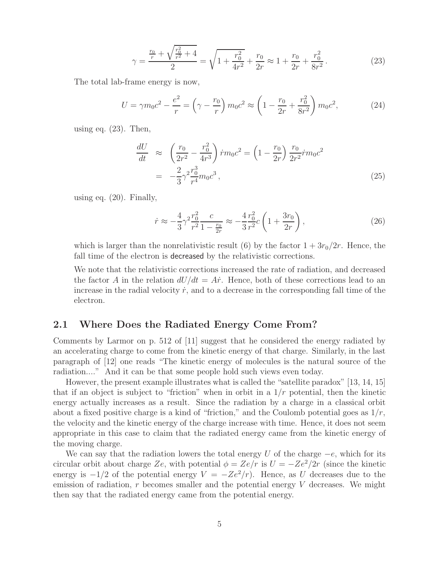$$
\gamma = \frac{\frac{r_0}{r} + \sqrt{\frac{r_0^2}{r^2} + 4}}{2} = \sqrt{1 + \frac{r_0^2}{4r^2} + \frac{r_0}{2r}} \approx 1 + \frac{r_0}{2r} + \frac{r_0^2}{8r^2}.
$$
 (23)

The total lab-frame energy is now,

$$
U = \gamma m_0 c^2 - \frac{e^2}{r} = \left(\gamma - \frac{r_0}{r}\right) m_0 c^2 \approx \left(1 - \frac{r_0}{2r} + \frac{r_0^2}{8r^2}\right) m_0 c^2,\tag{24}
$$

using eq.  $(23)$ . Then,

$$
\frac{dU}{dt} \approx \left(\frac{r_0}{2r^2} - \frac{r_0^2}{4r^3}\right) \dot{r} m_0 c^2 = \left(1 - \frac{r_0}{2r}\right) \frac{r_0}{2r^2} \dot{r} m_0 c^2
$$
\n
$$
= -\frac{2}{3} \gamma^2 \frac{r_0^3}{r^4} m_0 c^3 \,, \tag{25}
$$

using eq. (20). Finally,

$$
\dot{r} \approx -\frac{4}{3} \gamma^2 \frac{r_0^2}{r^2} \frac{c}{1 - \frac{r_0}{2r}} \approx -\frac{4}{3} \frac{r_0^2}{r^2} c \left( 1 + \frac{3r_0}{2r} \right),\tag{26}
$$

which is larger than the nonrelativistic result (6) by the factor  $1 + 3r_0/2r$ . Hence, the fall time of the electron is decreased by the relativistic corrections.

We note that the relativistic corrections increased the rate of radiation, and decreased the factor A in the relation  $dU/dt = A\dot{r}$ . Hence, both of these corrections lead to an increase in the radial velocity  $\dot{r}$ , and to a decrease in the corresponding fall time of the electron.

#### **2.1 Where Does the Radiated Energy Come From?**

Comments by Larmor on p. 512 of [11] suggest that he considered the energy radiated by an accelerating charge to come from the kinetic energy of that charge. Similarly, in the last paragraph of [12] one reads "The kinetic energy of molecules is the natural source of the radiation...." And it can be that some people hold such views even today.

However, the present example illustrates what is called the "satellite paradox" [13, 14, 15] that if an object is subject to "friction" when in orbit in a  $1/r$  potential, then the kinetic energy actually increases as a result. Since the radiation by a charge in a classical orbit about a fixed positive charge is a kind of "friction," and the Coulomb potential goes as  $1/r$ , the velocity and the kinetic energy of the charge increase with time. Hence, it does not seem appropriate in this case to claim that the radiated energy came from the kinetic energy of the moving charge.

We can say that the radiation lowers the total energy U of the charge  $-e$ , which for its circular orbit about charge Ze, with potential  $\phi = Ze/r$  is  $U = -Ze^2/2r$  (since the kinetic energy is  $-1/2$  of the potential energy  $V = -Ze^2/r$ ). Hence, as U decreases due to the emission of radiation,  $r$  becomes smaller and the potential energy  $V$  decreases. We might then say that the radiated energy came from the potential energy.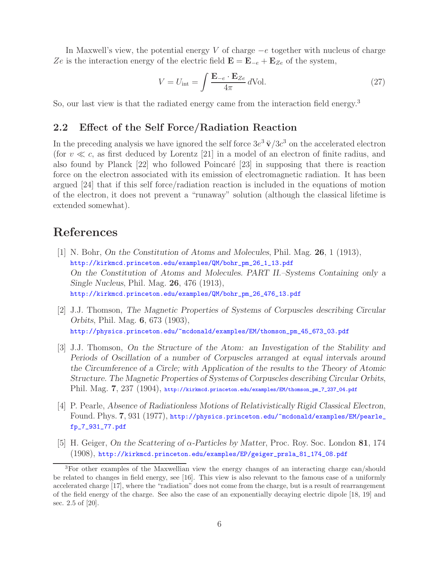In Maxwell's view, the potential energy V of charge  $-e$  together with nucleus of charge Ze is the interaction energy of the electric field  $\mathbf{E} = \mathbf{E}_{-e} + \mathbf{E}_{Ze}$  of the system,

$$
V = U_{\text{int}} = \int \frac{\mathbf{E}_{-e} \cdot \mathbf{E}_{Ze}}{4\pi} d\text{Vol}.
$$
 (27)

So, our last view is that the radiated energy came from the interaction field energy.<sup>3</sup>

#### **2.2 Effect of the Self Force/Radiation Reaction**

In the preceding analysis we have ignored the self force  $3e^3 \ddot{\mathbf{v}}/3c^3$  on the accelerated electron (for  $v \ll c$ , as first deduced by Lorentz [21] in a model of an electron of finite radius, and also found by Planck  $[22]$  who followed Poincaré  $[23]$  in supposing that there is reaction force on the electron associated with its emission of electromagnetic radiation. It has been argued [24] that if this self force/radiation reaction is included in the equations of motion of the electron, it does not prevent a "runaway" solution (although the classical lifetime is extended somewhat).

# **References**

- [1] N. Bohr, *On the Constitution of Atoms and Molecules*, Phil. Mag. **26**, 1 (1913), http://kirkmcd.princeton.edu/examples/QM/bohr\_pm\_26\_1\_13.pdf *On the Constitution of Atoms and Molecules. PART II.–Systems Containing only a Single Nucleus*, Phil. Mag. **26**, 476 (1913), http://kirkmcd.princeton.edu/examples/QM/bohr\_pm\_26\_476\_13.pdf
- [2] J.J. Thomson, *The Magnetic Properties of Systems of Corpuscles describing Circular Orbits*, Phil. Mag. **6**, 673 (1903), http://physics.princeton.edu/~mcdonald/examples/EM/thomson\_pm\_45\_673\_03.pdf
- [3] J.J. Thomson, *On the Structure of the Atom: an Investigation of the Stability and Periods of Oscillation of a number of Corpuscles arranged at equal intervals around the Circumference of a Circle; with Application of the results to the Theory of Atomic Structure. The Magnetic Properties of Systems of Corpuscles describing Circular Orbits*, Phil. Mag. **7**, 237 (1904), http://kirkmcd.princeton.edu/examples/EM/thomson\_pm\_7\_237\_04.pdf
- [4] P. Pearle, *Absence of Radiationless Motions of Relativistically Rigid Classical Electron*, Found. Phys. **7**, 931 (1977), http://physics.princeton.edu/~mcdonald/examples/EM/pearle\_ fp\_7\_931\_77.pdf
- [5] H. Geiger, *On the Scattering of* α*-Particles by Matter*, Proc. Roy. Soc. London **81**, 174 (1908), http://kirkmcd.princeton.edu/examples/EP/geiger\_prsla\_81\_174\_08.pdf

<sup>3</sup>For other examples of the Maxwellian view the energy changes of an interacting charge can/should be related to changes in field energy, see [16]. This view is also relevant to the famous case of a uniformly accelerated charge [17], where the "radiation" does not come from the charge, but is a result of rearrangement of the field energy of the charge. See also the case of an exponentially decaying electric dipole [18, 19] and sec. 2.5 of [20].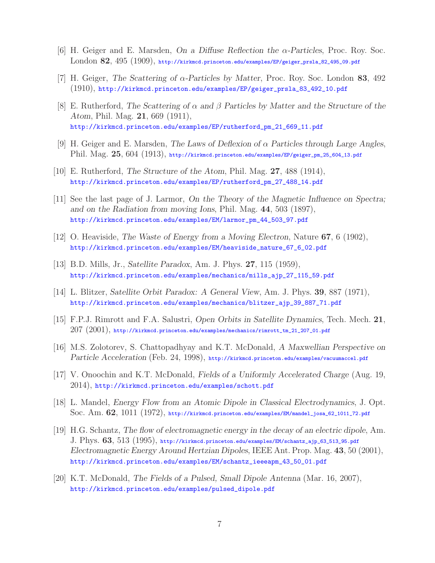- [6] H. Geiger and E. Marsden, *On a Diffuse Reflection the* α*-Particles*, Proc. Roy. Soc. London **82**, 495 (1909), http://kirkmcd.princeton.edu/examples/EP/geiger\_prsla\_82\_495\_09.pdf
- [7] H. Geiger, *The Scattering of* α*-Particles by Matter*, Proc. Roy. Soc. London **83**, 492 (1910), http://kirkmcd.princeton.edu/examples/EP/geiger\_prsla\_83\_492\_10.pdf
- [8] E. Rutherford, *The Scattering of* α *and* β *Particles by Matter and the Structure of the Atom*, Phil. Mag. **21**, 669 (1911), http://kirkmcd.princeton.edu/examples/EP/rutherford\_pm\_21\_669\_11.pdf
- [9] H. Geiger and E. Marsden, *The Laws of Deflexion of* α *Particles through Large Angles*, Phil. Mag. **25**, 604 (1913), http://kirkmcd.princeton.edu/examples/EP/geiger\_pm\_25\_604\_13.pdf
- [10] E. Rutherford, *The Structure of the Atom*, Phil. Mag. **27**, 488 (1914), http://kirkmcd.princeton.edu/examples/EP/rutherford\_pm\_27\_488\_14.pdf
- [11] See the last page of J. Larmor, *On the Theory of the Magnetic Influence on Spectra; and on the Radiation from moving Ions*, Phil. Mag. **44**, 503 (1897), http://kirkmcd.princeton.edu/examples/EM/larmor\_pm\_44\_503\_97.pdf
- [12] O. Heaviside, *The Waste of Energy from a Moving Electron*, Nature **67**, 6 (1902), http://kirkmcd.princeton.edu/examples/EM/heaviside\_nature\_67\_6\_02.pdf
- [13] B.D. Mills, Jr., *Satellite Paradox*, Am. J. Phys. **27**, 115 (1959), http://kirkmcd.princeton.edu/examples/mechanics/mills\_ajp\_27\_115\_59.pdf
- [14] L. Blitzer, *Satellite Orbit Paradox: A General View*, Am. J. Phys. **39**, 887 (1971), http://kirkmcd.princeton.edu/examples/mechanics/blitzer\_ajp\_39\_887\_71.pdf
- [15] F.P.J. Rimrott and F.A. Salustri, *Open Orbits in Satellite Dynamics*, Tech. Mech. **21**,  $207\ (2001)$ , http://kirkmcd.princeton.edu/examples/mechanics/rimrott\_tm\_21\_207\_01.pdf
- [16] M.S. Zolotorev, S. Chattopadhyay and K.T. McDonald, *A Maxwellian Perspective on Particle Acceleration* (Feb. 24, 1998), http://kirkmcd.princeton.edu/examples/vacuumaccel.pdf
- [17] V. Onoochin and K.T. McDonald, *Fields of a Uniformly Accelerated Charge* (Aug. 19, 2014), http://kirkmcd.princeton.edu/examples/schott.pdf
- [18] L. Mandel, *Energy Flow from an Atomic Dipole in Classical Electrodynamics*, J. Opt. Soc. Am. **62**, 1011 (1972), http://kirkmcd.princeton.edu/examples/EM/mandel\_josa\_62\_1011\_72.pdf
- [19] H.G. Schantz, *The flow of electromagnetic energy in the decay of an electric dipole*, Am. J. Phys. **63**, 513 (1995), http://kirkmcd.princeton.edu/examples/EM/schantz\_ajp\_63\_513\_95.pdf *Electromagnetic Energy Around Hertzian Dipoles*, IEEE Ant. Prop. Mag. **43**, 50 (2001), http://kirkmcd.princeton.edu/examples/EM/schantz\_ieeeapm\_43\_50\_01.pdf
- [20] K.T. McDonald, *The Fields of a Pulsed, Small Dipole Antenna* (Mar. 16, 2007), http://kirkmcd.princeton.edu/examples/pulsed\_dipole.pdf